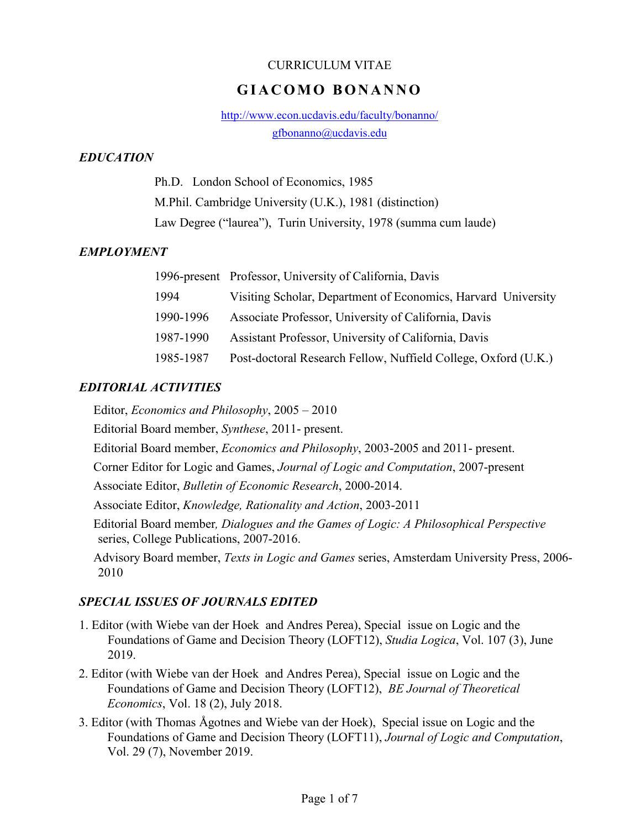#### CURRICULUM VITAE

# **G I A C O M O B O N A N N O**

http://www.econ.ucdavis.edu/faculty/bonanno/ gfbonanno@ucdavis.edu

## *EDUCATION*

Ph.D. London School of Economics, 1985 M.Phil. Cambridge University (U.K.), 1981 (distinction) Law Degree ("laurea"), Turin University, 1978 (summa cum laude)

## *EMPLOYMENT*

|           | 1996-present Professor, University of California, Davis        |
|-----------|----------------------------------------------------------------|
| 1994      | Visiting Scholar, Department of Economics, Harvard University  |
| 1990-1996 | Associate Professor, University of California, Davis           |
| 1987-1990 | Assistant Professor, University of California, Davis           |
| 1985-1987 | Post-doctoral Research Fellow, Nuffield College, Oxford (U.K.) |

## *EDITORIAL ACTIVITIES*

Editor, *Economics and Philosophy*, 2005 – 2010

Editorial Board member, *Synthese*, 2011- present.

Editorial Board member, *Economics and Philosophy*, 2003-2005 and 2011- present.

Corner Editor for Logic and Games, *Journal of Logic and Computation*, 2007-present

Associate Editor, *Bulletin of Economic Research*, 2000-2014.

Associate Editor, *Knowledge, Rationality and Action*, 2003-2011

Editorial Board member*, Dialogues and the Games of Logic: A Philosophical Perspective* series, College Publications, 2007-2016.

Advisory Board member, *Texts in Logic and Games* series, Amsterdam University Press, 2006- 2010

## *SPECIAL ISSUES OF JOURNALS EDITED*

- 1. Editor (with Wiebe van der Hoek and Andres Perea), Special issue on Logic and the Foundations of Game and Decision Theory (LOFT12), *Studia Logica*, Vol. 107 (3), June 2019.
- 2. Editor (with Wiebe van der Hoek and Andres Perea), Special issue on Logic and the Foundations of Game and Decision Theory (LOFT12), *BE Journal of Theoretical Economics*, Vol. 18 (2), July 2018.
- 3. Editor (with Thomas Ågotnes and Wiebe van der Hoek), Special issue on Logic and the Foundations of Game and Decision Theory (LOFT11), *Journal of Logic and Computation*, Vol. 29 (7), November 2019.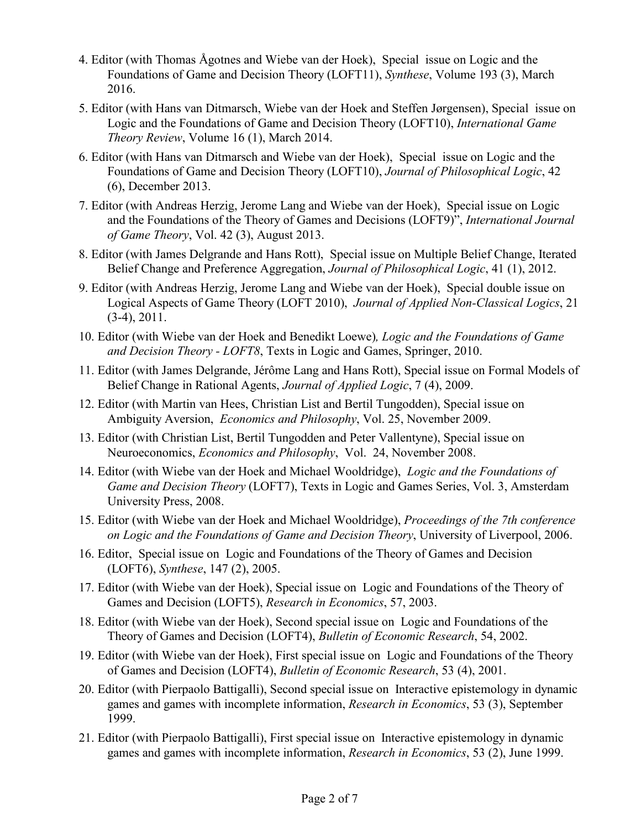- 4. Editor (with Thomas Ågotnes and Wiebe van der Hoek), Special issue on Logic and the Foundations of Game and Decision Theory (LOFT11), *Synthese*, Volume 193 (3), March 2016.
- 5. Editor (with Hans van Ditmarsch, Wiebe van der Hoek and Steffen Jørgensen), Special issue on Logic and the Foundations of Game and Decision Theory (LOFT10), *International Game Theory Review*, Volume 16 (1), March 2014.
- 6. Editor (with Hans van Ditmarsch and Wiebe van der Hoek), Special issue on Logic and the Foundations of Game and Decision Theory (LOFT10), *Journal of Philosophical Logic*, 42 (6), December 2013.
- 7. Editor (with Andreas Herzig, Jerome Lang and Wiebe van der Hoek), Special issue on Logic and the Foundations of the Theory of Games and Decisions (LOFT9)", *International Journal of Game Theory*, Vol. 42 (3), August 2013.
- 8. Editor (with James Delgrande and Hans Rott), Special issue on Multiple Belief Change, Iterated Belief Change and Preference Aggregation, *Journal of Philosophical Logic*, 41 (1), 2012.
- 9. Editor (with Andreas Herzig, Jerome Lang and Wiebe van der Hoek), Special double issue on Logical Aspects of Game Theory (LOFT 2010), *Journal of Applied Non-Classical Logics*, 21 (3-4), 2011.
- 10. Editor (with Wiebe van der Hoek and Benedikt Loewe)*, Logic and the Foundations of Game and Decision Theory - LOFT8*, Texts in Logic and Games, Springer, 2010.
- 11. Editor (with James Delgrande, Jérôme Lang and Hans Rott), Special issue on Formal Models of Belief Change in Rational Agents, *Journal of Applied Logic*, 7 (4), 2009.
- 12. Editor (with Martin van Hees, Christian List and Bertil Tungodden), Special issue on Ambiguity Aversion, *Economics and Philosophy*, Vol. 25, November 2009.
- 13. Editor (with Christian List, Bertil Tungodden and Peter Vallentyne), Special issue on Neuroeconomics, *Economics and Philosophy*, Vol. 24, November 2008.
- 14. Editor (with Wiebe van der Hoek and Michael Wooldridge), *Logic and the Foundations of Game and Decision Theory* (LOFT7), Texts in Logic and Games Series, Vol. 3, Amsterdam University Press, 2008.
- 15. Editor (with Wiebe van der Hoek and Michael Wooldridge), *Proceedings of the 7th conference on Logic and the Foundations of Game and Decision Theory*, University of Liverpool, 2006.
- 16. Editor, Special issue on Logic and Foundations of the Theory of Games and Decision (LOFT6), *Synthese*, 147 (2), 2005.
- 17. Editor (with Wiebe van der Hoek), Special issue on Logic and Foundations of the Theory of Games and Decision (LOFT5), *Research in Economics*, 57, 2003.
- 18. Editor (with Wiebe van der Hoek), Second special issue on Logic and Foundations of the Theory of Games and Decision (LOFT4), *Bulletin of Economic Research*, 54, 2002.
- 19. Editor (with Wiebe van der Hoek), First special issue on Logic and Foundations of the Theory of Games and Decision (LOFT4), *Bulletin of Economic Research*, 53 (4), 2001.
- 20. Editor (with Pierpaolo Battigalli), Second special issue on Interactive epistemology in dynamic games and games with incomplete information, *Research in Economics*, 53 (3), September 1999.
- 21. Editor (with Pierpaolo Battigalli), First special issue on Interactive epistemology in dynamic games and games with incomplete information, *Research in Economics*, 53 (2), June 1999.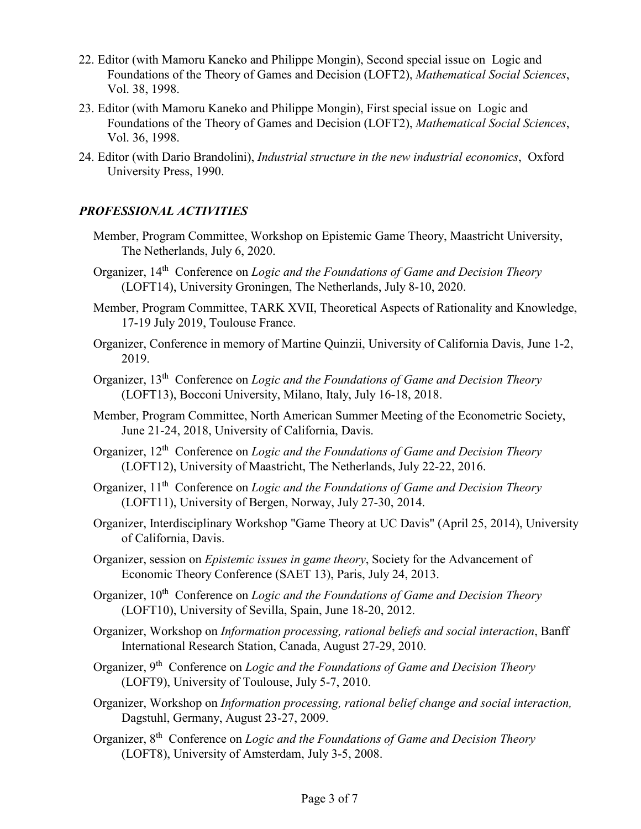- 22. Editor (with Mamoru Kaneko and Philippe Mongin), Second special issue on Logic and Foundations of the Theory of Games and Decision (LOFT2), *Mathematical Social Sciences*, Vol. 38, 1998.
- 23. Editor (with Mamoru Kaneko and Philippe Mongin), First special issue on Logic and Foundations of the Theory of Games and Decision (LOFT2), *Mathematical Social Sciences*, Vol. 36, 1998.
- 24. Editor (with Dario Brandolini), *Industrial structure in the new industrial economics*, Oxford University Press, 1990.

## *PROFESSIONAL ACTIVITIES*

- Member, Program Committee, Workshop on Epistemic Game Theory, Maastricht University, The Netherlands, July 6, 2020.
- Organizer, 14th Conference on *Logic and the Foundations of Game and Decision Theory* (LOFT14), University Groningen, The Netherlands, July 8-10, 2020.
- Member, Program Committee, TARK XVII, Theoretical Aspects of Rationality and Knowledge, 17-19 July 2019, Toulouse France.
- Organizer, Conference in memory of Martine Quinzii, University of California Davis, June 1-2, 2019.
- Organizer, 13th Conference on *Logic and the Foundations of Game and Decision Theory* (LOFT13), Bocconi University, Milano, Italy, July 16-18, 2018.
- Member, Program Committee, North American Summer Meeting of the Econometric Society, June 21-24, 2018, University of California, Davis.
- Organizer, 12th Conference on *Logic and the Foundations of Game and Decision Theory* (LOFT12), University of Maastricht, The Netherlands, July 22-22, 2016.
- Organizer, 11th Conference on *Logic and the Foundations of Game and Decision Theory* (LOFT11), University of Bergen, Norway, July 27-30, 2014.
- Organizer, Interdisciplinary Workshop "Game Theory at UC Davis" (April 25, 2014), University of California, Davis.
- Organizer, session on *Epistemic issues in game theory*, Society for the Advancement of Economic Theory Conference (SAET 13), Paris, July 24, 2013.
- Organizer, 10<sup>th</sup> Conference on *Logic and the Foundations of Game and Decision Theory* (LOFT10), University of Sevilla, Spain, June 18-20, 2012.
- Organizer, Workshop on *Information processing, rational beliefs and social interaction*, Banff International Research Station, Canada, August 27-29, 2010.
- Organizer, 9th Conference on *Logic and the Foundations of Game and Decision Theory* (LOFT9), University of Toulouse, July 5-7, 2010.
- Organizer, Workshop on *Information processing, rational belief change and social interaction,* Dagstuhl, Germany, August 23-27, 2009.
- Organizer, 8th Conference on *Logic and the Foundations of Game and Decision Theory* (LOFT8), University of Amsterdam, July 3-5, 2008.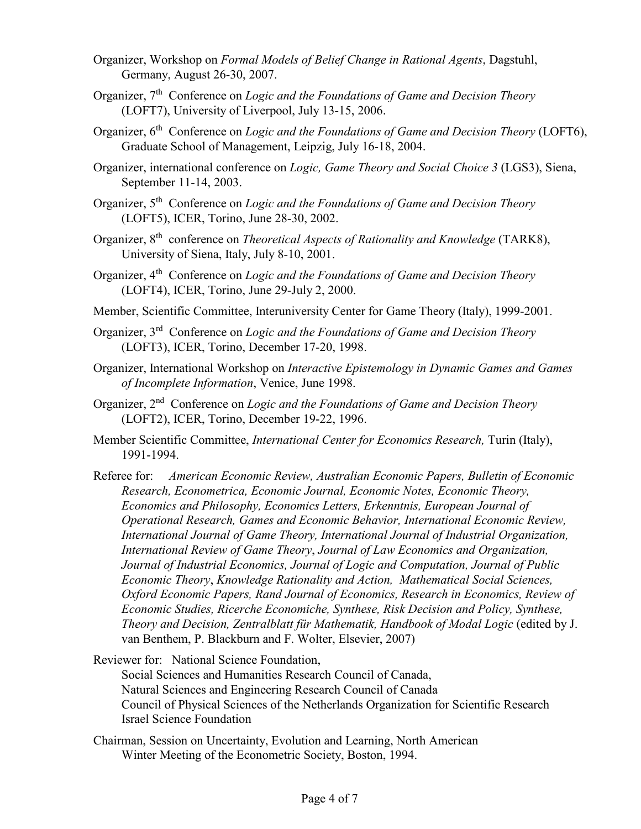- Organizer, Workshop on *Formal Models of Belief Change in Rational Agents*, Dagstuhl, Germany, August 26-30, 2007.
- Organizer, 7th Conference on *Logic and the Foundations of Game and Decision Theory* (LOFT7), University of Liverpool, July 13-15, 2006.
- Organizer, 6<sup>th</sup> Conference on *Logic and the Foundations of Game and Decision Theory* (LOFT6), Graduate School of Management, Leipzig, July 16-18, 2004.
- Organizer, international conference on *Logic, Game Theory and Social Choice 3* (LGS3), Siena, September 11-14, 2003.
- Organizer, 5th Conference on *Logic and the Foundations of Game and Decision Theory* (LOFT5), ICER, Torino, June 28-30, 2002.
- Organizer, 8th conference on *Theoretical Aspects of Rationality and Knowledge* (TARK8), University of Siena, Italy, July 8-10, 2001.
- Organizer, 4th Conference on *Logic and the Foundations of Game and Decision Theory* (LOFT4), ICER, Torino, June 29-July 2, 2000.
- Member, Scientific Committee, Interuniversity Center for Game Theory (Italy), 1999-2001.
- Organizer, 3rd Conference on *Logic and the Foundations of Game and Decision Theory* (LOFT3), ICER, Torino, December 17-20, 1998.
- Organizer, International Workshop on *Interactive Epistemology in Dynamic Games and Games of Incomplete Information*, Venice, June 1998.
- Organizer, 2nd Conference on *Logic and the Foundations of Game and Decision Theory* (LOFT2), ICER, Torino, December 19-22, 1996.
- Member Scientific Committee, *International Center for Economics Research,* Turin (Italy), 1991-1994.
- Referee for: *American Economic Review, Australian Economic Papers, Bulletin of Economic Research, Econometrica, Economic Journal, Economic Notes, Economic Theory, Economics and Philosophy, Economics Letters, Erkenntnis, European Journal of Operational Research, Games and Economic Behavior, International Economic Review, International Journal of Game Theory, International Journal of Industrial Organization, International Review of Game Theory*, *Journal of Law Economics and Organization, Journal of Industrial Economics, Journal of Logic and Computation, Journal of Public Economic Theory*, *Knowledge Rationality and Action, Mathematical Social Sciences, Oxford Economic Papers, Rand Journal of Economics, Research in Economics, Review of Economic Studies, Ricerche Economiche, Synthese, Risk Decision and Policy, Synthese, Theory and Decision, Zentralblatt für Mathematik, Handbook of Modal Logic* (edited by J. van Benthem, P. Blackburn and F. Wolter, Elsevier, 2007)

Reviewer for: National Science Foundation, Social Sciences and Humanities Research Council of Canada, Natural Sciences and Engineering Research Council of Canada Council of Physical Sciences of the Netherlands Organization for Scientific Research Israel Science Foundation

Chairman, Session on Uncertainty, Evolution and Learning, North American Winter Meeting of the Econometric Society, Boston, 1994.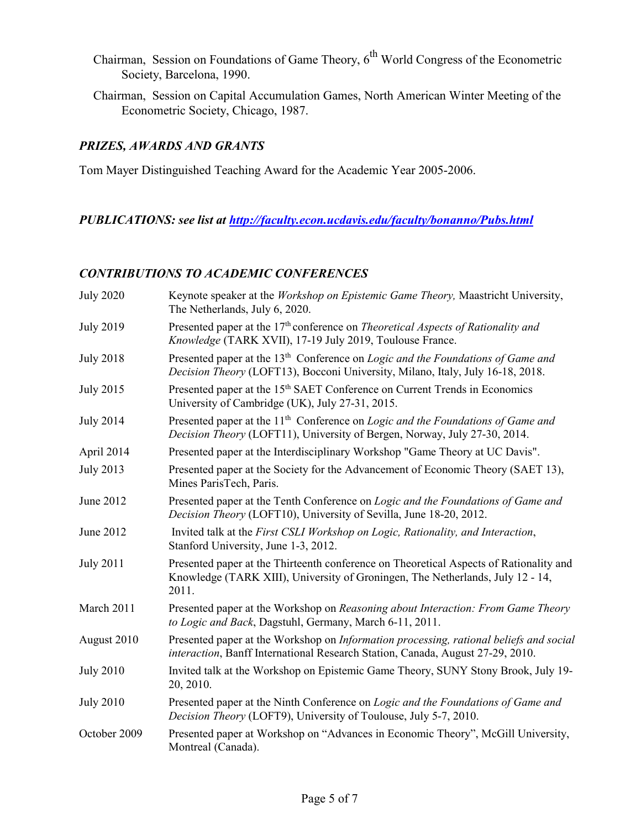- Chairman, Session on Foundations of Game Theory,  $6<sup>th</sup>$  World Congress of the Econometric Society, Barcelona, 1990.
- Chairman, Session on Capital Accumulation Games, North American Winter Meeting of the Econometric Society, Chicago, 1987.

## *PRIZES, AWARDS AND GRANTS*

Tom Mayer Distinguished Teaching Award for the Academic Year 2005-2006.

## *PUBLICATIONS: see list at http://faculty.econ.ucdavis.edu/faculty/bonanno/Pubs.html*

## *CONTRIBUTIONS TO ACADEMIC CONFERENCES*

| <b>July 2020</b> | Keynote speaker at the Workshop on Epistemic Game Theory, Maastricht University,<br>The Netherlands, July 6, 2020.                                                                   |
|------------------|--------------------------------------------------------------------------------------------------------------------------------------------------------------------------------------|
| <b>July 2019</b> | Presented paper at the 17 <sup>th</sup> conference on <i>Theoretical Aspects of Rationality and</i><br>Knowledge (TARK XVII), 17-19 July 2019, Toulouse France.                      |
| <b>July 2018</b> | Presented paper at the 13 <sup>th</sup> Conference on <i>Logic and the Foundations of Game and</i><br>Decision Theory (LOFT13), Bocconi University, Milano, Italy, July 16-18, 2018. |
| <b>July 2015</b> | Presented paper at the 15 <sup>th</sup> SAET Conference on Current Trends in Economics<br>University of Cambridge (UK), July 27-31, 2015.                                            |
| <b>July 2014</b> | Presented paper at the 11 <sup>th</sup> Conference on <i>Logic and the Foundations of Game and</i><br>Decision Theory (LOFT11), University of Bergen, Norway, July 27-30, 2014.      |
| April 2014       | Presented paper at the Interdisciplinary Workshop "Game Theory at UC Davis".                                                                                                         |
| <b>July 2013</b> | Presented paper at the Society for the Advancement of Economic Theory (SAET 13),<br>Mines ParisTech, Paris.                                                                          |
| June 2012        | Presented paper at the Tenth Conference on Logic and the Foundations of Game and<br>Decision Theory (LOFT10), University of Sevilla, June 18-20, 2012.                               |
| June 2012        | Invited talk at the First CSLI Workshop on Logic, Rationality, and Interaction,<br>Stanford University, June 1-3, 2012.                                                              |
| <b>July 2011</b> | Presented paper at the Thirteenth conference on Theoretical Aspects of Rationality and<br>Knowledge (TARK XIII), University of Groningen, The Netherlands, July 12 - 14,<br>2011.    |
| March 2011       | Presented paper at the Workshop on Reasoning about Interaction: From Game Theory<br>to Logic and Back, Dagstuhl, Germany, March 6-11, 2011.                                          |
| August 2010      | Presented paper at the Workshop on Information processing, rational beliefs and social<br>interaction, Banff International Research Station, Canada, August 27-29, 2010.             |
| <b>July 2010</b> | Invited talk at the Workshop on Epistemic Game Theory, SUNY Stony Brook, July 19-<br>20, 2010.                                                                                       |
| <b>July 2010</b> | Presented paper at the Ninth Conference on Logic and the Foundations of Game and<br>Decision Theory (LOFT9), University of Toulouse, July 5-7, 2010.                                 |
| October 2009     | Presented paper at Workshop on "Advances in Economic Theory", McGill University,<br>Montreal (Canada).                                                                               |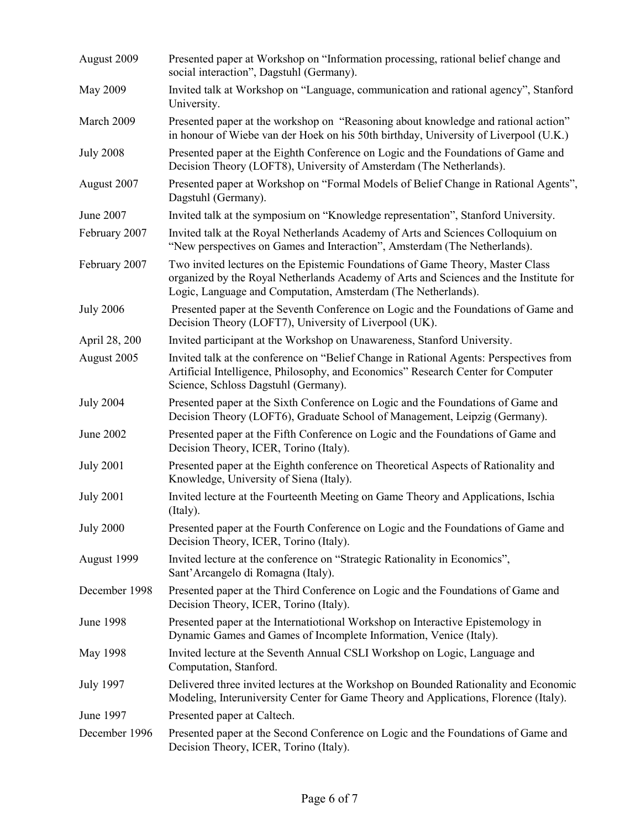| August 2009      | Presented paper at Workshop on "Information processing, rational belief change and<br>social interaction", Dagstuhl (Germany).                                                                                                           |
|------------------|------------------------------------------------------------------------------------------------------------------------------------------------------------------------------------------------------------------------------------------|
| May 2009         | Invited talk at Workshop on "Language, communication and rational agency", Stanford<br>University.                                                                                                                                       |
| March 2009       | Presented paper at the workshop on "Reasoning about knowledge and rational action"<br>in honour of Wiebe van der Hoek on his 50th birthday, University of Liverpool (U.K.)                                                               |
| <b>July 2008</b> | Presented paper at the Eighth Conference on Logic and the Foundations of Game and<br>Decision Theory (LOFT8), University of Amsterdam (The Netherlands).                                                                                 |
| August 2007      | Presented paper at Workshop on "Formal Models of Belief Change in Rational Agents",<br>Dagstuhl (Germany).                                                                                                                               |
| June 2007        | Invited talk at the symposium on "Knowledge representation", Stanford University.                                                                                                                                                        |
| February 2007    | Invited talk at the Royal Netherlands Academy of Arts and Sciences Colloquium on<br>"New perspectives on Games and Interaction", Amsterdam (The Netherlands).                                                                            |
| February 2007    | Two invited lectures on the Epistemic Foundations of Game Theory, Master Class<br>organized by the Royal Netherlands Academy of Arts and Sciences and the Institute for<br>Logic, Language and Computation, Amsterdam (The Netherlands). |
| <b>July 2006</b> | Presented paper at the Seventh Conference on Logic and the Foundations of Game and<br>Decision Theory (LOFT7), University of Liverpool (UK).                                                                                             |
| April 28, 200    | Invited participant at the Workshop on Unawareness, Stanford University.                                                                                                                                                                 |
| August 2005      | Invited talk at the conference on "Belief Change in Rational Agents: Perspectives from<br>Artificial Intelligence, Philosophy, and Economics" Research Center for Computer<br>Science, Schloss Dagstuhl (Germany).                       |
| <b>July 2004</b> | Presented paper at the Sixth Conference on Logic and the Foundations of Game and<br>Decision Theory (LOFT6), Graduate School of Management, Leipzig (Germany).                                                                           |
| June 2002        | Presented paper at the Fifth Conference on Logic and the Foundations of Game and<br>Decision Theory, ICER, Torino (Italy).                                                                                                               |
| <b>July 2001</b> | Presented paper at the Eighth conference on Theoretical Aspects of Rationality and<br>Knowledge, University of Siena (Italy).                                                                                                            |
| <b>July 2001</b> | Invited lecture at the Fourteenth Meeting on Game Theory and Applications, Ischia<br>(Italy).                                                                                                                                            |
| <b>July 2000</b> | Presented paper at the Fourth Conference on Logic and the Foundations of Game and<br>Decision Theory, ICER, Torino (Italy).                                                                                                              |
| August 1999      | Invited lecture at the conference on "Strategic Rationality in Economics",<br>Sant'Arcangelo di Romagna (Italy).                                                                                                                         |
| December 1998    | Presented paper at the Third Conference on Logic and the Foundations of Game and<br>Decision Theory, ICER, Torino (Italy).                                                                                                               |
| <b>June 1998</b> | Presented paper at the Internatiotional Workshop on Interactive Epistemology in<br>Dynamic Games and Games of Incomplete Information, Venice (Italy).                                                                                    |
| May 1998         | Invited lecture at the Seventh Annual CSLI Workshop on Logic, Language and<br>Computation, Stanford.                                                                                                                                     |
| <b>July 1997</b> | Delivered three invited lectures at the Workshop on Bounded Rationality and Economic<br>Modeling, Interuniversity Center for Game Theory and Applications, Florence (Italy).                                                             |
| June 1997        | Presented paper at Caltech.                                                                                                                                                                                                              |
| December 1996    | Presented paper at the Second Conference on Logic and the Foundations of Game and<br>Decision Theory, ICER, Torino (Italy).                                                                                                              |